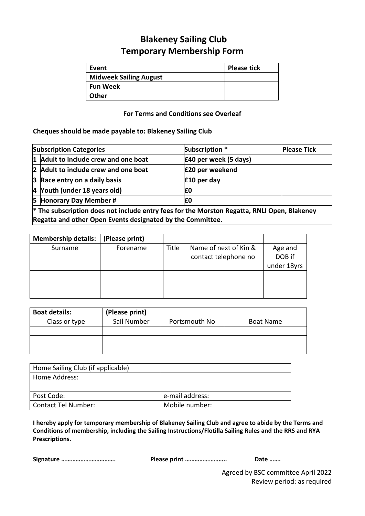## **Blakeney Sailing Club Temporary Membership Form**

| Event                         | <b>Please tick</b> |
|-------------------------------|--------------------|
| <b>Midweek Sailing August</b> |                    |
| <b>Fun Week</b>               |                    |
| <b>Other</b>                  |                    |

## **For Terms and Conditions see Overleaf**

## **Cheques should be made payable to: Blakeney Sailing Club**

| <b>Subscription Categories</b>       | Subscription *        | <b>Please Tick</b> |
|--------------------------------------|-----------------------|--------------------|
| 1 Adult to include crew and one boat | £40 per week (5 days) |                    |
| 2 Adult to include crew and one boat | £20 per weekend       |                    |
| $ 3 $ Race entry on a daily basis    | £10 per day           |                    |
| 4 Youth (under 18 years old)         | £0                    |                    |
| 5 Honorary Day Member #              | £0                    |                    |
|                                      |                       |                    |

**\* The subscription does not include entry fees for the Morston Regatta, RNLI Open, Blakeney Regatta and other Open Events designated by the Committee.** 

| <b>Membership details:</b> | (Please print) |       |                       |             |
|----------------------------|----------------|-------|-----------------------|-------------|
| Surname                    | Forename       | Title | Name of next of Kin & | Age and     |
|                            |                |       | contact telephone no  | DOB if      |
|                            |                |       |                       | under 18yrs |
|                            |                |       |                       |             |
|                            |                |       |                       |             |
|                            |                |       |                       |             |

| <b>Boat details:</b> | (Please print) |               |                  |
|----------------------|----------------|---------------|------------------|
| Class or type        | Sail Number    | Portsmouth No | <b>Boat Name</b> |
|                      |                |               |                  |
|                      |                |               |                  |
|                      |                |               |                  |

| Home Sailing Club (if applicable) |                 |
|-----------------------------------|-----------------|
| Home Address:                     |                 |
|                                   |                 |
| Post Code:                        | e-mail address: |
| <b>Contact Tel Number:</b>        | Mobile number:  |

**I hereby apply for temporary membership of Blakeney Sailing Club and agree to abide by the Terms and Conditions of membership, including the Sailing Instructions/Flotilla Sailing Rules and the RRS and RYA Prescriptions.** 

**Signature ……………………………. Please print …………………….. Date …….**

Agreed by BSC committee April 2022 Review period: as required